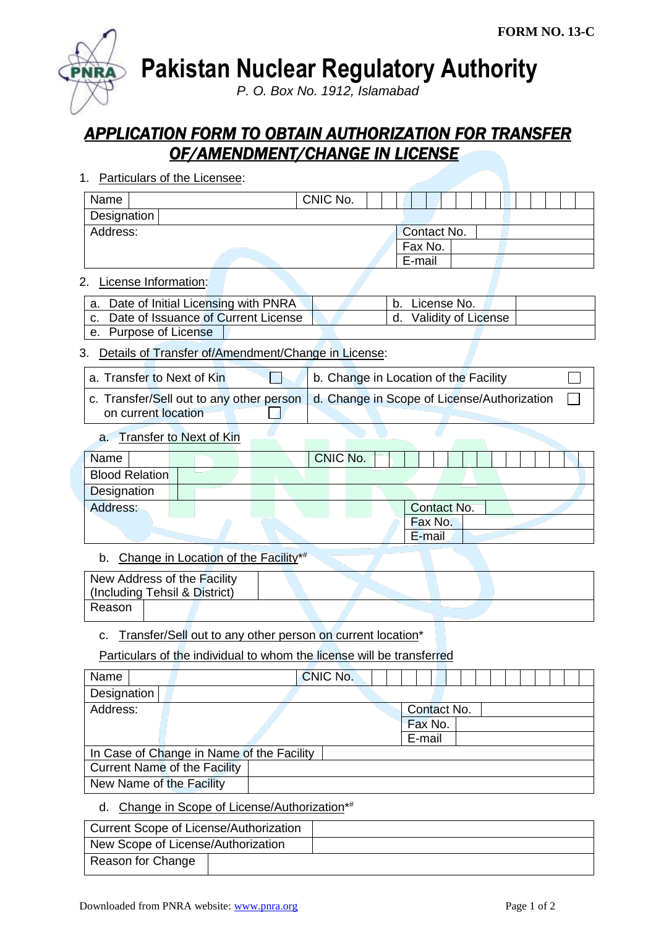**Pakistan Nuclear Regulatory Authority**

*P. O. Box No. 1912, Islamabad*

## *APPLICATION FORM TO OBTAIN AUTHORIZATION FOR TRANSFER OF/AMENDMENT/CHANGE IN LICENSE*

1. Particulars of the Licensee:

| Name                                      |                                                                       | CNIC No. |                                             |  |
|-------------------------------------------|-----------------------------------------------------------------------|----------|---------------------------------------------|--|
| Designation                               |                                                                       |          |                                             |  |
| Address:                                  |                                                                       |          | Contact No.                                 |  |
|                                           |                                                                       | Fax No.  |                                             |  |
|                                           |                                                                       |          | E-mail                                      |  |
| License Information:<br>2.                |                                                                       |          |                                             |  |
| а.                                        | Date of Initial Licensing with PNRA                                   | b.       | License No.                                 |  |
| C.                                        | Date of Issuance of Current License                                   |          | Validity of License<br>d.                   |  |
| e. Purpose of License                     |                                                                       |          |                                             |  |
| 3.                                        | Details of Transfer of/Amendment/Change in License:                   |          |                                             |  |
| a. Transfer to Next of Kin                |                                                                       |          | b. Change in Location of the Facility       |  |
| on current location                       | c. Transfer/Sell out to any other person                              |          | d. Change in Scope of License/Authorization |  |
| а.                                        | <b>Transfer to Next of Kin</b>                                        |          |                                             |  |
| Name                                      |                                                                       | CNIC No. |                                             |  |
| <b>Blood Relation</b>                     |                                                                       |          |                                             |  |
| Designation                               |                                                                       |          |                                             |  |
| Address:                                  |                                                                       |          | Contact No.                                 |  |
|                                           |                                                                       |          | Fax No.                                     |  |
|                                           |                                                                       |          | E-mail                                      |  |
| b.                                        | Change in Location of the Facility*#                                  |          |                                             |  |
| New Address of the Facility               |                                                                       |          |                                             |  |
| (Including Tehsil & District)             |                                                                       |          |                                             |  |
| Reason                                    |                                                                       |          |                                             |  |
| c.                                        | Transfer/Sell out to any other person on current location*            |          |                                             |  |
|                                           | Particulars of the individual to whom the license will be transferred |          |                                             |  |
| Name                                      |                                                                       | CNIC No. |                                             |  |
| Designation                               |                                                                       |          |                                             |  |
| Address:                                  |                                                                       |          | Contact No.                                 |  |
|                                           |                                                                       |          | Fax No.                                     |  |
|                                           |                                                                       |          | E-mail                                      |  |
| In Case of Change in Name of the Facility |                                                                       |          |                                             |  |
| <b>Current Name of the Facility</b>       |                                                                       |          |                                             |  |
| New Name of the Facility                  |                                                                       |          |                                             |  |
|                                           |                                                                       |          |                                             |  |

d. Change in Scope of License/Authorization<sup>\*</sup>

| <b>Current Scope of License/Authorization</b> |  |
|-----------------------------------------------|--|
| New Scope of License/Authorization            |  |
| Reason for Change                             |  |